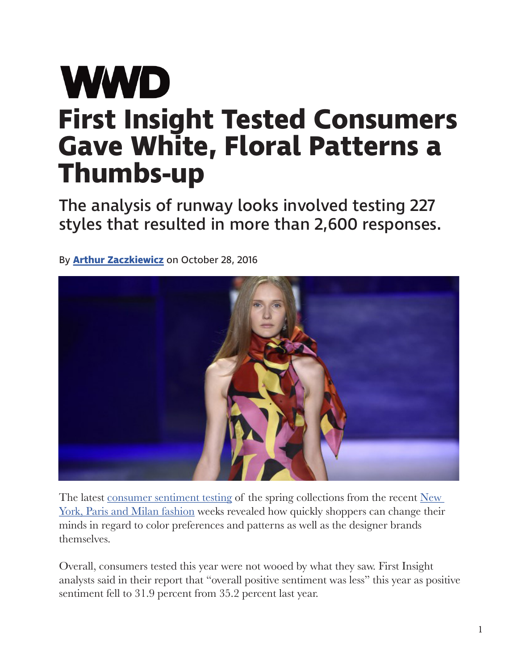## **WWD First Insight Tested Consumers Gave White, Floral Patterns a Thumbs-up**

The analysis of runway looks involved testing 227 styles that resulted in more than 2,600 responses.

By **Arthur Zaczkiewicz** on October 28, 2016



The latest consumer sentiment testing of the spring collections from the recent New York, Paris and Milan fashion weeks revealed how quickly shoppers can change their minds in regard to color preferences and patterns as well as the designer brands themselves.

Overall, consumers tested this year were not wooed by what they saw. First Insight analysts said in their report that "overall positive sentiment was less" this year as positive sentiment fell to 31.9 percent from 35.2 percent last year.